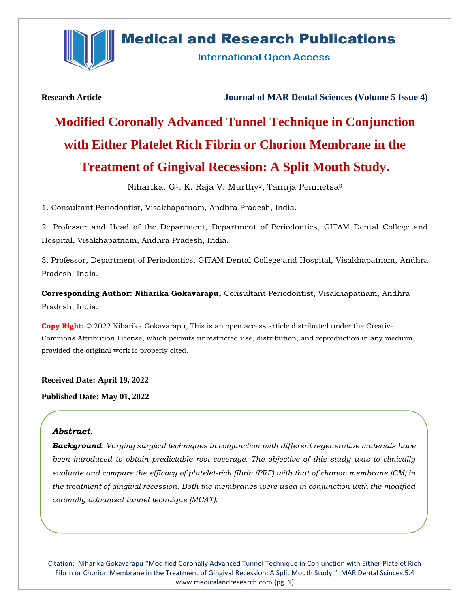

## **Medical and Research Publications**

**International Open Access** 

**Research Article Journal of MAR Dental Sciences (Volume 5 Issue 4)**

# **Modified Coronally Advanced Tunnel Technique in Conjunction with Either Platelet Rich Fibrin or Chorion Membrane in the Treatment of Gingival Recession: A Split Mouth Study.**

Niharika. G<sup>1</sup>. K. Raja V. Murthy<sup>2</sup>, Tanuja Penmetsa<sup>3</sup>

1. Consultant Periodontist, Visakhapatnam, Andhra Pradesh, India.

2. Professor and Head of the Department, Department of Periodontics, GITAM Dental College and Hospital, Visakhapatnam, Andhra Pradesh, India.

3. Professor, Department of Periodontics, GITAM Dental College and Hospital, Visakhapatnam, Andhra Pradesh, India.

**Corresponding Author: Niharika Gokavarapu,** Consultant Periodontist, Visakhapatnam, Andhra Pradesh, India.

**Copy Right:** © 2022 Niharika Gokavarapu, This is an open access article distributed under the Creative Commons Attribution License, which permits unrestricted use, distribution, and reproduction in any medium, provided the original work is properly cited.

**Received Date: April 19, 2022**

**Published Date: May 01, 2022**

## *Abstract:*

*Background: Varying surgical techniques in conjunction with different regenerative materials have*  been introduced to obtain predictable root coverage. The objective of this study was to clinically *evaluate and compare the efficacy of platelet-rich fibrin (PRF) with that of chorion membrane (CM) in the treatment of gingival recession. Both the membranes were used in conjunction with the modified coronally advanced tunnel technique (MCAT).*

Citation: Niharika Gokavarapu "Modified Coronally Advanced Tunnel Technique in Conjunction with Either Platelet Rich Fibrin or Chorion Membrane in the Treatment of Gingival Recession: A Split Mouth Study." MAR Dental Scinces.5.4 [www.medicalandresearch.com](http://www.medicalandresearch.com/) (pg. 1)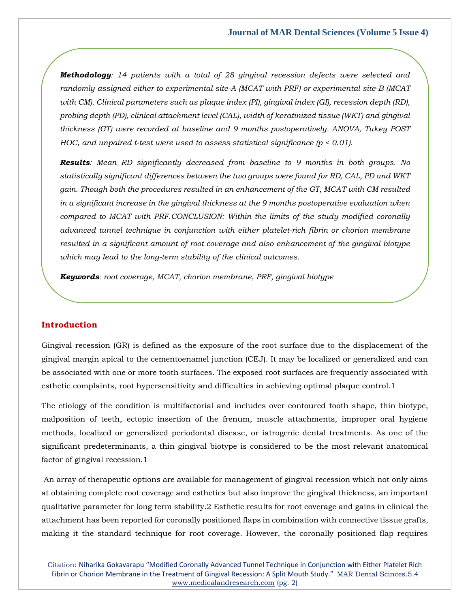*Methodology: 14 patients with a total of 28 gingival recession defects were selected and randomly assigned either to experimental site-A (MCAT with PRF) or experimental site-B (MCAT with CM). Clinical parameters such as plaque index (PI), gingival index (GI), recession depth (RD), probing depth (PD), clinical attachment level (CAL), width of keratinized tissue (WKT) and gingival thickness (GT) were recorded at baseline and 9 months postoperatively. ANOVA, Tukey POST HOC, and unpaired t-test were used to assess statistical significance (p < 0.01).*

*Results: Mean RD significantly decreased from baseline to 9 months in both groups. No statistically significant differences between the two groups were found for RD, CAL, PD and WKT gain. Though both the procedures resulted in an enhancement of the GT, MCAT with CM resulted in a significant increase in the gingival thickness at the 9 months postoperative evaluation when compared to MCAT with PRF.CONCLUSION: Within the limits of the study modified coronally advanced tunnel technique in conjunction with either platelet-rich fibrin or chorion membrane resulted in a significant amount of root coverage and also enhancement of the gingival biotype which may lead to the long-term stability of the clinical outcomes.*

*Keywords: root coverage, MCAT, chorion membrane, PRF, gingival biotype*

## **Introduction**

Gingival recession (GR) is defined as the exposure of the root surface due to the displacement of the gingival margin apical to the cementoenamel junction (CEJ). It may be localized or generalized and can be associated with one or more tooth surfaces. The exposed root surfaces are frequently associated with esthetic complaints, root hypersensitivity and difficulties in achieving optimal plaque control.1

The etiology of the condition is multifactorial and includes over contoured tooth shape, thin biotype, malposition of teeth, ectopic insertion of the frenum, muscle attachments, improper oral hygiene methods, localized or generalized periodontal disease, or iatrogenic dental treatments. As one of the significant predeterminants, a thin gingival biotype is considered to be the most relevant anatomical factor of gingival recession.1

An array of therapeutic options are available for management of gingival recession which not only aims at obtaining complete root coverage and esthetics but also improve the gingival thickness, an important qualitative parameter for long term stability.2 Esthetic results for root coverage and gains in clinical the attachment has been reported for coronally positioned flaps in combination with connective tissue grafts, making it the standard technique for root coverage. However, the coronally positioned flap requires

Citation: Niharika Gokavarapu "Modified Coronally Advanced Tunnel Technique in Conjunction with Either Platelet Rich Fibrin or Chorion Membrane in the Treatment of Gingival Recession: A Split Mouth Study." MAR Dental Scinces.5.4 [www.medicalandresearch.com](http://www.medicalandresearch.com/) (pg. 2)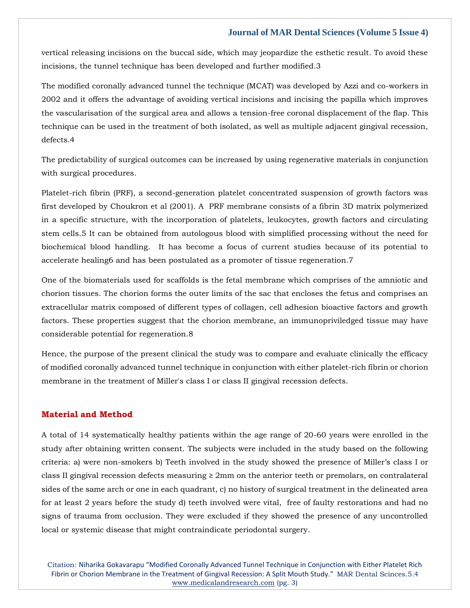vertical releasing incisions on the buccal side, which may jeopardize the esthetic result. To avoid these incisions, the tunnel technique has been developed and further modified.3

The modified coronally advanced tunnel the technique (MCAT) was developed by Azzi and co-workers in 2002 and it offers the advantage of avoiding vertical incisions and incising the papilla which improves the vascularisation of the surgical area and allows a tension-free coronal displacement of the flap. This technique can be used in the treatment of both isolated, as well as multiple adjacent gingival recession, defects.4

The predictability of surgical outcomes can be increased by using regenerative materials in conjunction with surgical procedures.

Platelet-rich fibrin (PRF), a second-generation platelet concentrated suspension of growth factors was first developed by Choukron et al (2001). A PRF membrane consists of a fibrin 3D matrix polymerized in a specific structure, with the incorporation of platelets, leukocytes, growth factors and circulating stem cells.5 It can be obtained from autologous blood with simplified processing without the need for biochemical blood handling. It has become a focus of current studies because of its potential to accelerate healing6 and has been postulated as a promoter of tissue regeneration.7

One of the biomaterials used for scaffolds is the fetal membrane which comprises of the amniotic and chorion tissues. The chorion forms the outer limits of the sac that encloses the fetus and comprises an extracellular matrix composed of different types of collagen, cell adhesion bioactive factors and growth factors. These properties suggest that the chorion membrane, an immunopriviledged tissue may have considerable potential for regeneration.8

Hence, the purpose of the present clinical the study was to compare and evaluate clinically the efficacy of modified coronally advanced tunnel technique in conjunction with either platelet-rich fibrin or chorion membrane in the treatment of Miller's class I or class II gingival recession defects.

## **Material and Method**

A total of 14 systematically healthy patients within the age range of 20-60 years were enrolled in the study after obtaining written consent. The subjects were included in the study based on the following criteria: a) were non-smokers b) Teeth involved in the study showed the presence of Miller's class I or class II gingival recession defects measuring  $\geq 2$ mm on the anterior teeth or premolars, on contralateral sides of the same arch or one in each quadrant, c) no history of surgical treatment in the delineated area for at least 2 years before the study d) teeth involved were vital, free of faulty restorations and had no signs of trauma from occlusion. They were excluded if they showed the presence of any uncontrolled local or systemic disease that might contraindicate periodontal surgery.

Citation: Niharika Gokavarapu "Modified Coronally Advanced Tunnel Technique in Conjunction with Either Platelet Rich Fibrin or Chorion Membrane in the Treatment of Gingival Recession: A Split Mouth Study." MAR Dental Scinces.5.4 [www.medicalandresearch.com](http://www.medicalandresearch.com/) (pg. 3)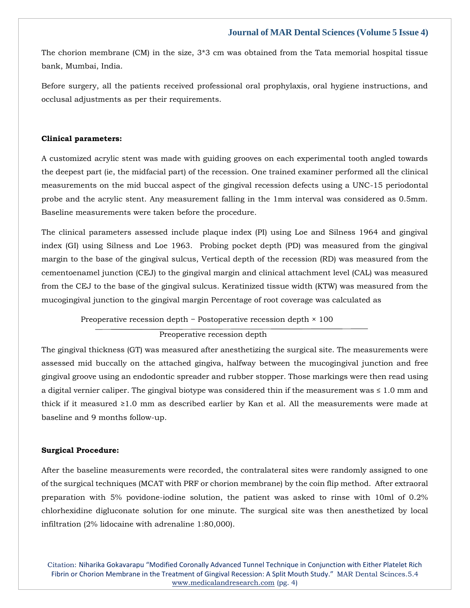The chorion membrane (CM) in the size,  $3*3$  cm was obtained from the Tata memorial hospital tissue bank, Mumbai, India.

Before surgery, all the patients received professional oral prophylaxis, oral hygiene instructions, and occlusal adjustments as per their requirements.

## **Clinical parameters:**

A customized acrylic stent was made with guiding grooves on each experimental tooth angled towards the deepest part (ie, the midfacial part) of the recession. One trained examiner performed all the clinical measurements on the mid buccal aspect of the gingival recession defects using a UNC-15 periodontal probe and the acrylic stent. Any measurement falling in the 1mm interval was considered as 0.5mm. Baseline measurements were taken before the procedure.

The clinical parameters assessed include plaque index (PI) using Loe and Silness 1964 and gingival index (GI) using Silness and Loe 1963. Probing pocket depth (PD) was measured from the gingival margin to the base of the gingival sulcus, Vertical depth of the recession (RD) was measured from the cementoenamel junction (CEJ) to the gingival margin and clinical attachment level (CAL) was measured from the CEJ to the base of the gingival sulcus. Keratinized tissue width (KTW) was measured from the mucogingival junction to the gingival margin Percentage of root coverage was calculated as

Preoperative recession depth − Postoperative recession depth × 100

Preoperative recession depth

The gingival thickness (GT) was measured after anesthetizing the surgical site. The measurements were assessed mid buccally on the attached gingiva, halfway between the mucogingival junction and free gingival groove using an endodontic spreader and rubber stopper. Those markings were then read using a digital vernier caliper. The gingival biotype was considered thin if the measurement was ≤ 1.0 mm and thick if it measured ≥1.0 mm as described earlier by Kan et al. All the measurements were made at baseline and 9 months follow-up.

#### **Surgical Procedure:**

After the baseline measurements were recorded, the contralateral sites were randomly assigned to one of the surgical techniques (MCAT with PRF or chorion membrane) by the coin flip method. After extraoral preparation with 5% povidone-iodine solution, the patient was asked to rinse with 10ml of 0.2% chlorhexidine digluconate solution for one minute. The surgical site was then anesthetized by local infiltration (2% lidocaine with adrenaline 1:80,000).

Citation: Niharika Gokavarapu "Modified Coronally Advanced Tunnel Technique in Conjunction with Either Platelet Rich Fibrin or Chorion Membrane in the Treatment of Gingival Recession: A Split Mouth Study." MAR Dental Scinces.5.4 [www.medicalandresearch.com](http://www.medicalandresearch.com/) (pg. 4)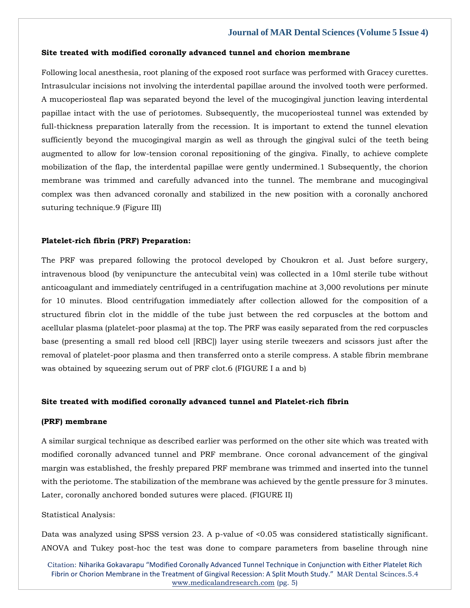#### **Site treated with modified coronally advanced tunnel and chorion membrane**

Following local anesthesia, root planing of the exposed root surface was performed with Gracey curettes. Intrasulcular incisions not involving the interdental papillae around the involved tooth were performed. A mucoperiosteal flap was separated beyond the level of the mucogingival junction leaving interdental papillae intact with the use of periotomes. Subsequently, the mucoperiosteal tunnel was extended by full-thickness preparation laterally from the recession. It is important to extend the tunnel elevation sufficiently beyond the mucogingival margin as well as through the gingival sulci of the teeth being augmented to allow for low-tension coronal repositioning of the gingiva. Finally, to achieve complete mobilization of the flap, the interdental papillae were gently undermined.1 Subsequently, the chorion membrane was trimmed and carefully advanced into the tunnel. The membrane and mucogingival complex was then advanced coronally and stabilized in the new position with a coronally anchored suturing technique.9 (Figure III)

#### **Platelet-rich fibrin (PRF) Preparation:**

The PRF was prepared following the protocol developed by Choukron et al. Just before surgery, intravenous blood (by venipuncture the antecubital vein) was collected in a 10ml sterile tube without anticoagulant and immediately centrifuged in a centrifugation machine at 3,000 revolutions per minute for 10 minutes. Blood centrifugation immediately after collection allowed for the composition of a structured fibrin clot in the middle of the tube just between the red corpuscles at the bottom and acellular plasma (platelet-poor plasma) at the top. The PRF was easily separated from the red corpuscles base (presenting a small red blood cell [RBC]) layer using sterile tweezers and scissors just after the removal of platelet-poor plasma and then transferred onto a sterile compress. A stable fibrin membrane was obtained by squeezing serum out of PRF clot.6 (FIGURE I a and b)

#### **Site treated with modified coronally advanced tunnel and Platelet-rich fibrin**

#### **(PRF) membrane**

A similar surgical technique as described earlier was performed on the other site which was treated with modified coronally advanced tunnel and PRF membrane. Once coronal advancement of the gingival margin was established, the freshly prepared PRF membrane was trimmed and inserted into the tunnel with the periotome. The stabilization of the membrane was achieved by the gentle pressure for 3 minutes. Later, coronally anchored bonded sutures were placed. (FIGURE II)

#### Statistical Analysis:

Data was analyzed using SPSS version 23. A p-value of <0.05 was considered statistically significant. ANOVA and Tukey post-hoc the test was done to compare parameters from baseline through nine

Citation: Niharika Gokavarapu "Modified Coronally Advanced Tunnel Technique in Conjunction with Either Platelet Rich Fibrin or Chorion Membrane in the Treatment of Gingival Recession: A Split Mouth Study." MAR Dental Scinces.5.4 [www.medicalandresearch.com](http://www.medicalandresearch.com/) (pg. 5)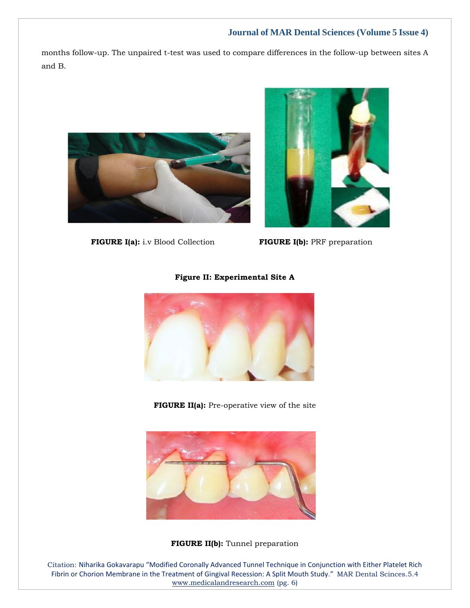months follow-up. The unpaired t-test was used to compare differences in the follow-up between sites A and B.





 **FIGURE I(a):** i.v Blood Collection **FIGURE I(b):** PRF preparation

## **Figure II: Experimental Site A**



**FIGURE II(a):** Pre-operative view of the site



**FIGURE II(b):** Tunnel preparation

Citation: Niharika Gokavarapu "Modified Coronally Advanced Tunnel Technique in Conjunction with Either Platelet Rich Fibrin or Chorion Membrane in the Treatment of Gingival Recession: A Split Mouth Study." MAR Dental Scinces.5.4 [www.medicalandresearch.com](http://www.medicalandresearch.com/) (pg. 6)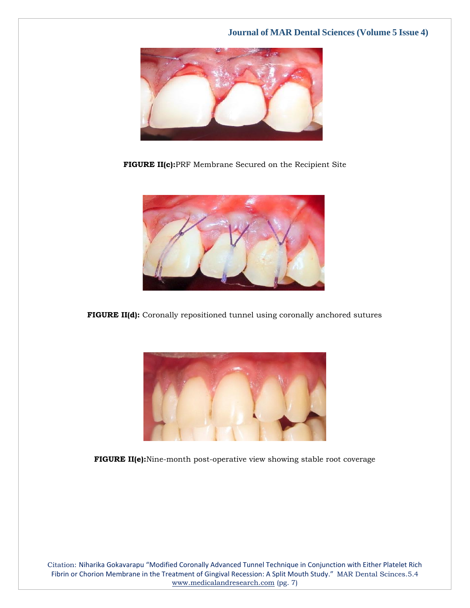

**FIGURE II(c):**PRF Membrane Secured on the Recipient Site



**FIGURE II(d):** Coronally repositioned tunnel using coronally anchored sutures



**FIGURE II(e):**Nine-month post-operative view showing stable root coverage

Citation: Niharika Gokavarapu "Modified Coronally Advanced Tunnel Technique in Conjunction with Either Platelet Rich Fibrin or Chorion Membrane in the Treatment of Gingival Recession: A Split Mouth Study." MAR Dental Scinces.5.4 [www.medicalandresearch.com](http://www.medicalandresearch.com/) (pg. 7)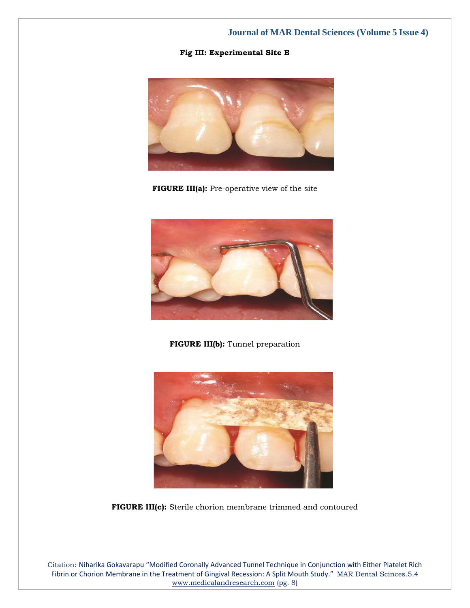**Fig III: Experimental Site B**



**FIGURE III(a):** Pre-operative view of the site



**FIGURE III(b):** Tunnel preparation



**FIGURE III(c):** Sterile chorion membrane trimmed and contoured

Citation: Niharika Gokavarapu "Modified Coronally Advanced Tunnel Technique in Conjunction with Either Platelet Rich Fibrin or Chorion Membrane in the Treatment of Gingival Recession: A Split Mouth Study." MAR Dental Scinces.5.4 [www.medicalandresearch.com](http://www.medicalandresearch.com/) (pg. 8)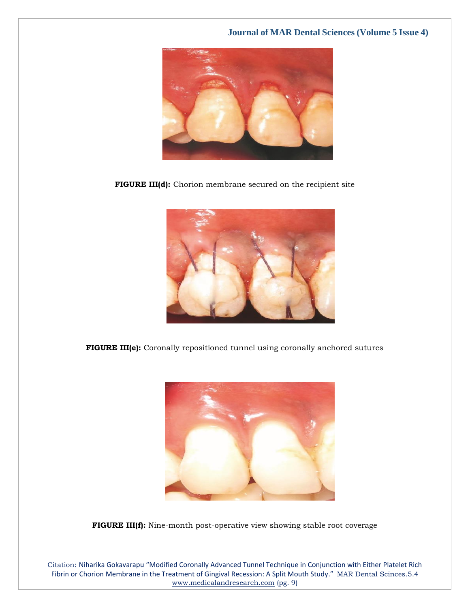

**FIGURE III(d):** Chorion membrane secured on the recipient site



**FIGURE III(e):** Coronally repositioned tunnel using coronally anchored sutures



**FIGURE III(f):** Nine-month post-operative view showing stable root coverage

Citation: Niharika Gokavarapu "Modified Coronally Advanced Tunnel Technique in Conjunction with Either Platelet Rich Fibrin or Chorion Membrane in the Treatment of Gingival Recession: A Split Mouth Study." MAR Dental Scinces.5.4 [www.medicalandresearch.com](http://www.medicalandresearch.com/) (pg. 9)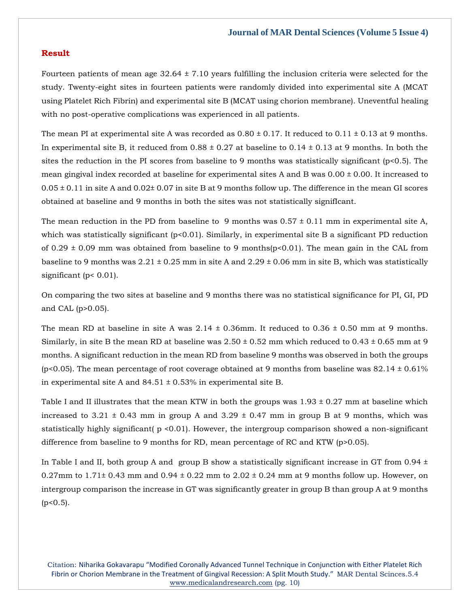## **Result**

Fourteen patients of mean age  $32.64 \pm 7.10$  years fulfilling the inclusion criteria were selected for the study. Twenty-eight sites in fourteen patients were randomly divided into experimental site A (MCAT using Platelet Rich Fibrin) and experimental site B (MCAT using chorion membrane). Uneventful healing with no post-operative complications was experienced in all patients.

The mean PI at experimental site A was recorded as  $0.80 \pm 0.17$ . It reduced to  $0.11 \pm 0.13$  at 9 months. In experimental site B, it reduced from  $0.88 \pm 0.27$  at baseline to  $0.14 \pm 0.13$  at 9 months. In both the sites the reduction in the PI scores from baseline to 9 months was statistically significant (p<0.5). The mean gingival index recorded at baseline for experimental sites A and B was 0.00 ± 0.00. It increased to  $0.05 \pm 0.11$  in site A and  $0.02 \pm 0.07$  in site B at 9 months follow up. The difference in the mean GI scores obtained at baseline and 9 months in both the sites was not statistically signifIcant.

The mean reduction in the PD from baseline to 9 months was  $0.57 \pm 0.11$  mm in experimental site A, which was statistically significant  $(p<0.01)$ . Similarly, in experimental site B a significant PD reduction of 0.29  $\pm$  0.09 mm was obtained from baseline to 9 months( $p$ <0.01). The mean gain in the CAL from baseline to 9 months was  $2.21 \pm 0.25$  mm in site A and  $2.29 \pm 0.06$  mm in site B, which was statistically significant (p< 0.01).

On comparing the two sites at baseline and 9 months there was no statistical significance for PI, GI, PD and CAL (p>0.05).

The mean RD at baseline in site A was  $2.14 \pm 0.36$  mm. It reduced to 0.36  $\pm$  0.50 mm at 9 months. Similarly, in site B the mean RD at baseline was  $2.50 \pm 0.52$  mm which reduced to  $0.43 \pm 0.65$  mm at 9 months. A significant reduction in the mean RD from baseline 9 months was observed in both the groups (p<0.05). The mean percentage of root coverage obtained at 9 months from baseline was  $82.14 \pm 0.61\%$ in experimental site A and  $84.51 \pm 0.53\%$  in experimental site B.

Table I and II illustrates that the mean KTW in both the groups was  $1.93 \pm 0.27$  mm at baseline which increased to 3.21  $\pm$  0.43 mm in group A and 3.29  $\pm$  0.47 mm in group B at 9 months, which was statistically highly significant( p <0.01). However, the intergroup comparison showed a non-significant difference from baseline to 9 months for RD, mean percentage of RC and KTW (p>0.05).

In Table I and II, both group A and group B show a statistically significant increase in GT from 0.94  $\pm$ 0.27mm to  $1.71\pm 0.43$  mm and  $0.94 \pm 0.22$  mm to  $2.02 \pm 0.24$  mm at 9 months follow up. However, on intergroup comparison the increase in GT was significantly greater in group B than group A at 9 months  $(p<0.5)$ .

Citation: Niharika Gokavarapu "Modified Coronally Advanced Tunnel Technique in Conjunction with Either Platelet Rich Fibrin or Chorion Membrane in the Treatment of Gingival Recession: A Split Mouth Study." MAR Dental Scinces.5.4 [www.medicalandresearch.com](http://www.medicalandresearch.com/) (pg. 10)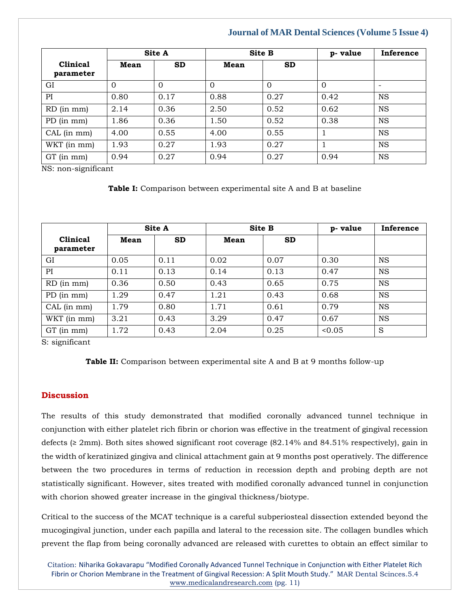|                              |          | Site A   | <b>Site B</b> |                | p-value  | Inference |  |
|------------------------------|----------|----------|---------------|----------------|----------|-----------|--|
| <b>Clinical</b><br>parameter | Mean     | SD       | Mean          | <b>SD</b>      |          |           |  |
| GI                           | $\Omega$ | $\Omega$ | $\Omega$      | $\overline{0}$ | $\Omega$ |           |  |
| PI                           | 0.80     | 0.17     | 0.88          | 0.27           | 0.42     | <b>NS</b> |  |
| RD (in mm)                   | 2.14     | 0.36     | 2.50          | 0.52           | 0.62     | <b>NS</b> |  |
| PD (in mm)                   | 1.86     | 0.36     | 1.50          | 0.52           | 0.38     | <b>NS</b> |  |
| CAL (in mm)                  | 4.00     | 0.55     | 4.00          | 0.55           |          | <b>NS</b> |  |
| WKT (in mm)                  | 1.93     | 0.27     | 1.93          | 0.27           |          | <b>NS</b> |  |
| GT (in mm)                   | 0.94     | 0.27     | 0.94          | 0.27           | 0.94     | <b>NS</b> |  |

NS: non-significant

**Table I:** Comparison between experimental site A and B at baseline

|                              |      | <b>Site A</b> |      | <b>Site B</b> | p-value | Inference |
|------------------------------|------|---------------|------|---------------|---------|-----------|
| <b>Clinical</b><br>parameter | Mean | <b>SD</b>     | Mean | <b>SD</b>     |         |           |
| GI                           | 0.05 | 0.11          | 0.02 | 0.07          | 0.30    | <b>NS</b> |
| PI                           | 0.11 | 0.13          | 0.14 | 0.13          | 0.47    | <b>NS</b> |
| $RD$ (in mm)                 | 0.36 | 0.50          | 0.43 | 0.65          | 0.75    | <b>NS</b> |
| PD (in mm)                   | 1.29 | 0.47          | 1.21 | 0.43          | 0.68    | <b>NS</b> |
| CAL (in mm)                  | 1.79 | 0.80          | 1.71 | 0.61          | 0.79    | <b>NS</b> |
| WKT (in mm)                  | 3.21 | 0.43          | 3.29 | 0.47          | 0.67    | <b>NS</b> |
| GT (in mm)                   | 1.72 | 0.43          | 2.04 | 0.25          | < 0.05  | S         |

S: significant

|  |  |  |  | <b>Table II:</b> Comparison between experimental site A and B at 9 months follow-up |  |  |  |  |  |  |  |
|--|--|--|--|-------------------------------------------------------------------------------------|--|--|--|--|--|--|--|
|--|--|--|--|-------------------------------------------------------------------------------------|--|--|--|--|--|--|--|

## **Discussion**

The results of this study demonstrated that modified coronally advanced tunnel technique in conjunction with either platelet rich fibrin or chorion was effective in the treatment of gingival recession defects (≥ 2mm). Both sites showed significant root coverage (82.14% and 84.51% respectively), gain in the width of keratinized gingiva and clinical attachment gain at 9 months post operatively. The difference between the two procedures in terms of reduction in recession depth and probing depth are not statistically significant. However, sites treated with modified coronally advanced tunnel in conjunction with chorion showed greater increase in the gingival thickness/biotype.

Critical to the success of the MCAT technique is a careful subperiosteal dissection extended beyond the mucogingival junction, under each papilla and lateral to the recession site. The collagen bundles which prevent the flap from being coronally advanced are released with curettes to obtain an effect similar to

Citation: Niharika Gokavarapu "Modified Coronally Advanced Tunnel Technique in Conjunction with Either Platelet Rich Fibrin or Chorion Membrane in the Treatment of Gingival Recession: A Split Mouth Study." MAR Dental Scinces.5.4 [www.medicalandresearch.com](http://www.medicalandresearch.com/) (pg. 11)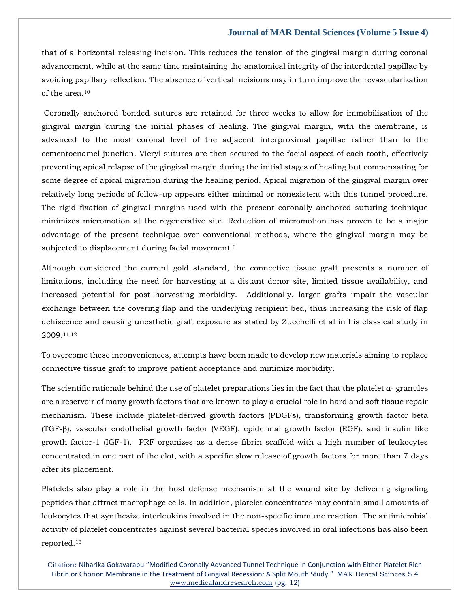that of a horizontal releasing incision. This reduces the tension of the gingival margin during coronal advancement, while at the same time maintaining the anatomical integrity of the interdental papillae by avoiding papillary reflection. The absence of vertical incisions may in turn improve the revascularization of the area.<sup>10</sup>

Coronally anchored bonded sutures are retained for three weeks to allow for immobilization of the gingival margin during the initial phases of healing. The gingival margin, with the membrane, is advanced to the most coronal level of the adjacent interproximal papillae rather than to the cementoenamel junction. Vicryl sutures are then secured to the facial aspect of each tooth, effectively preventing apical relapse of the gingival margin during the initial stages of healing but compensating for some degree of apical migration during the healing period. Apical migration of the gingival margin over relatively long periods of follow-up appears either minimal or nonexistent with this tunnel procedure. The rigid fixation of gingival margins used with the present coronally anchored suturing technique minimizes micromotion at the regenerative site. Reduction of micromotion has proven to be a major advantage of the present technique over conventional methods, where the gingival margin may be subjected to displacement during facial movement.<sup>9</sup>

Although considered the current gold standard, the connective tissue graft presents a number of limitations, including the need for harvesting at a distant donor site, limited tissue availability, and increased potential for post harvesting morbidity. Additionally, larger grafts impair the vascular exchange between the covering flap and the underlying recipient bed, thus increasing the risk of flap dehiscence and causing unesthetic graft exposure as stated by Zucchelli et al in his classical study in 2009.11,12

To overcome these inconveniences, attempts have been made to develop new materials aiming to replace connective tissue graft to improve patient acceptance and minimize morbidity.

The scientific rationale behind the use of platelet preparations lies in the fact that the platelet α- granules are a reservoir of many growth factors that are known to play a crucial role in hard and soft tissue repair mechanism. These include platelet-derived growth factors (PDGFs), transforming growth factor beta (TGF-β), vascular endothelial growth factor (VEGF), epidermal growth factor (EGF), and insulin like growth factor-1 (IGF-1). PRF organizes as a dense fibrin scaffold with a high number of leukocytes concentrated in one part of the clot, with a specific slow release of growth factors for more than 7 days after its placement.

Platelets also play a role in the host defense mechanism at the wound site by delivering signaling peptides that attract macrophage cells. In addition, platelet concentrates may contain small amounts of leukocytes that synthesize interleukins involved in the non-specific immune reaction. The antimicrobial activity of platelet concentrates against several bacterial species involved in oral infections has also been reported.13

Citation: Niharika Gokavarapu "Modified Coronally Advanced Tunnel Technique in Conjunction with Either Platelet Rich Fibrin or Chorion Membrane in the Treatment of Gingival Recession: A Split Mouth Study." MAR Dental Scinces.5.4 [www.medicalandresearch.com](http://www.medicalandresearch.com/) (pg. 12)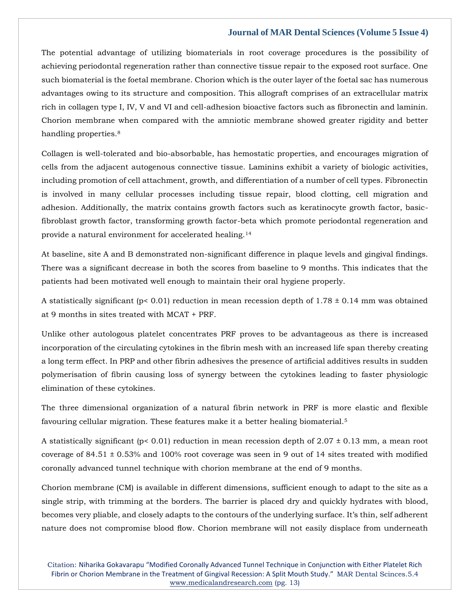The potential advantage of utilizing biomaterials in root coverage procedures is the possibility of achieving periodontal regeneration rather than connective tissue repair to the exposed root surface. One such biomaterial is the foetal membrane. Chorion which is the outer layer of the foetal sac has numerous advantages owing to its structure and composition. This allograft comprises of an extracellular matrix rich in collagen type I, IV, V and VI and cell-adhesion bioactive factors such as fibronectin and laminin. Chorion membrane when compared with the amniotic membrane showed greater rigidity and better handling properties.<sup>8</sup>

Collagen is well-tolerated and bio-absorbable, has hemostatic properties, and encourages migration of cells from the adjacent autogenous connective tissue. Laminins exhibit a variety of biologic activities, including promotion of cell attachment, growth, and differentiation of a number of cell types. Fibronectin is involved in many cellular processes including tissue repair, blood clotting, cell migration and adhesion. Additionally, the matrix contains growth factors such as keratinocyte growth factor, basicfibroblast growth factor, transforming growth factor-beta which promote periodontal regeneration and provide a natural environment for accelerated healing.<sup>14</sup>

At baseline, site A and B demonstrated non-significant difference in plaque levels and gingival findings. There was a significant decrease in both the scores from baseline to 9 months. This indicates that the patients had been motivated well enough to maintain their oral hygiene properly.

A statistically significant ( $p < 0.01$ ) reduction in mean recession depth of 1.78  $\pm$  0.14 mm was obtained at 9 months in sites treated with MCAT + PRF.

Unlike other autologous platelet concentrates PRF proves to be advantageous as there is increased incorporation of the circulating cytokines in the fibrin mesh with an increased life span thereby creating a long term effect. In PRP and other fibrin adhesives the presence of artificial additives results in sudden polymerisation of fibrin causing loss of synergy between the cytokines leading to faster physiologic elimination of these cytokines.

The three dimensional organization of a natural fibrin network in PRF is more elastic and flexible favouring cellular migration. These features make it a better healing biomaterial.<sup>5</sup>

A statistically significant ( $p < 0.01$ ) reduction in mean recession depth of 2.07  $\pm$  0.13 mm, a mean root coverage of 84.51 ± 0.53% and 100% root coverage was seen in 9 out of 14 sites treated with modified coronally advanced tunnel technique with chorion membrane at the end of 9 months.

Chorion membrane (CM) is available in different dimensions, sufficient enough to adapt to the site as a single strip, with trimming at the borders. The barrier is placed dry and quickly hydrates with blood, becomes very pliable, and closely adapts to the contours of the underlying surface. It's thin, self adherent nature does not compromise blood flow. Chorion membrane will not easily displace from underneath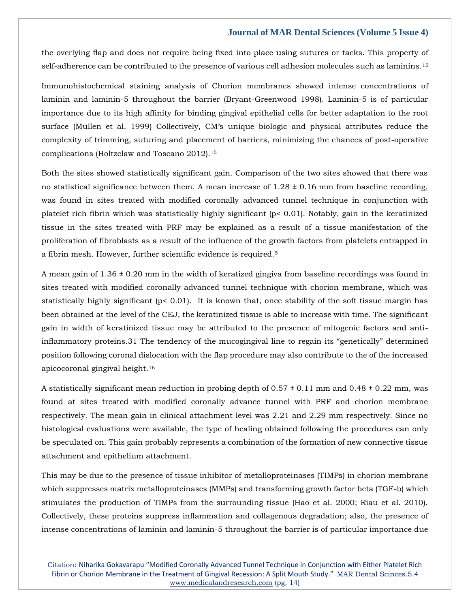the overlying flap and does not require being fixed into place using sutures or tacks. This property of self-adherence can be contributed to the presence of various cell adhesion molecules such as laminins.<sup>15</sup>

Immunohistochemical staining analysis of Chorion membranes showed intense concentrations of laminin and laminin-5 throughout the barrier (Bryant-Greenwood 1998). Laminin-5 is of particular importance due to its high affinity for binding gingival epithelial cells for better adaptation to the root surface (Mullen et al. 1999) Collectively, CM's unique biologic and physical attributes reduce the complexity of trimming, suturing and placement of barriers, minimizing the chances of post-operative complications (Holtzclaw and Toscano 2012).<sup>15</sup>

Both the sites showed statistically significant gain. Comparison of the two sites showed that there was no statistical significance between them. A mean increase of  $1.28 \pm 0.16$  mm from baseline recording, was found in sites treated with modified coronally advanced tunnel technique in conjunction with platelet rich fibrin which was statistically highly significant (p< 0.01). Notably, gain in the keratinized tissue in the sites treated with PRF may be explained as a result of a tissue manifestation of the proliferation of fibroblasts as a result of the influence of the growth factors from platelets entrapped in a fibrin mesh. However, further scientific evidence is required.<sup>5</sup>

A mean gain of  $1.36 \pm 0.20$  mm in the width of keratized gingiva from baseline recordings was found in sites treated with modified coronally advanced tunnel technique with chorion membrane, which was statistically highly significant (p< 0.01). It is known that, once stability of the soft tissue margin has been obtained at the level of the CEJ, the keratinized tissue is able to increase with time. The significant gain in width of keratinized tissue may be attributed to the presence of mitogenic factors and antiinflammatory proteins.31 The tendency of the mucogingival line to regain its "genetically" determined position following coronal dislocation with the flap procedure may also contribute to the of the increased apicocoronal gingival height.<sup>16</sup>

A statistically significant mean reduction in probing depth of  $0.57 \pm 0.11$  mm and  $0.48 \pm 0.22$  mm, was found at sites treated with modified coronally advance tunnel with PRF and chorion membrane respectively. The mean gain in clinical attachment level was 2.21 and 2.29 mm respectively. Since no histological evaluations were available, the type of healing obtained following the procedures can only be speculated on. This gain probably represents a combination of the formation of new connective tissue attachment and epithelium attachment.

This may be due to the presence of tissue inhibitor of metalloproteinases (TIMPs) in chorion membrane which suppresses matrix metalloproteinases (MMPs) and transforming growth factor beta (TGF-b) which stimulates the production of TIMPs from the surrounding tissue (Hao et al. 2000; Riau et al. 2010). Collectively, these proteins suppress inflammation and collagenous degradation; also, the presence of intense concentrations of laminin and laminin-5 throughout the barrier is of particular importance due

Citation: Niharika Gokavarapu "Modified Coronally Advanced Tunnel Technique in Conjunction with Either Platelet Rich Fibrin or Chorion Membrane in the Treatment of Gingival Recession: A Split Mouth Study." MAR Dental Scinces.5.4 [www.medicalandresearch.com](http://www.medicalandresearch.com/) (pg. 14)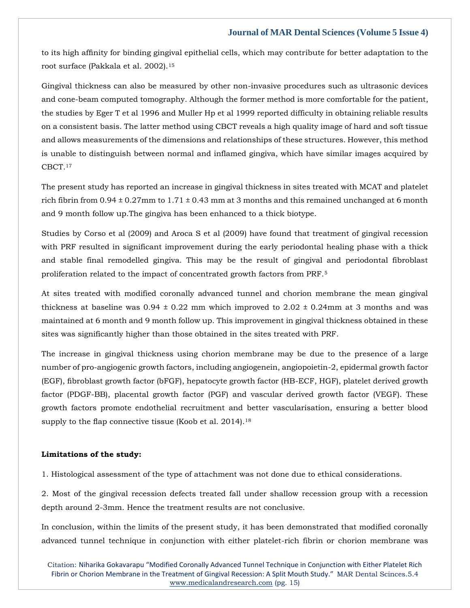to its high affinity for binding gingival epithelial cells, which may contribute for better adaptation to the root surface (Pakkala et al. 2002).<sup>15</sup>

Gingival thickness can also be measured by other non-invasive procedures such as ultrasonic devices and cone-beam computed tomography. Although the former method is more comfortable for the patient, the studies by Eger T et al 1996 and Muller Hp et al 1999 reported difficulty in obtaining reliable results on a consistent basis. The latter method using CBCT reveals a high quality image of hard and soft tissue and allows measurements of the dimensions and relationships of these structures. However, this method is unable to distinguish between normal and inflamed gingiva, which have similar images acquired by CBCT.<sup>17</sup>

The present study has reported an increase in gingival thickness in sites treated with MCAT and platelet rich fibrin from  $0.94 \pm 0.27$ mm to  $1.71 \pm 0.43$  mm at 3 months and this remained unchanged at 6 month and 9 month follow up.The gingiva has been enhanced to a thick biotype.

Studies by Corso et al (2009) and Aroca S et al (2009) have found that treatment of gingival recession with PRF resulted in significant improvement during the early periodontal healing phase with a thick and stable final remodelled gingiva. This may be the result of gingival and periodontal fibroblast proliferation related to the impact of concentrated growth factors from PRF.<sup>5</sup>

At sites treated with modified coronally advanced tunnel and chorion membrane the mean gingival thickness at baseline was  $0.94 \pm 0.22$  mm which improved to  $2.02 \pm 0.24$  mm at 3 months and was maintained at 6 month and 9 month follow up. This improvement in gingival thickness obtained in these sites was significantly higher than those obtained in the sites treated with PRF.

The increase in gingival thickness using chorion membrane may be due to the presence of a large number of pro-angiogenic growth factors, including angiogenein, angiopoietin-2, epidermal growth factor (EGF), fibroblast growth factor (bFGF), hepatocyte growth factor (HB-ECF, HGF), platelet derived growth factor (PDGF-BB), placental growth factor (PGF) and vascular derived growth factor (VEGF). These growth factors promote endothelial recruitment and better vascularisation, ensuring a better blood supply to the flap connective tissue (Koob et al. 2014).<sup>18</sup>

#### **Limitations of the study:**

1. Histological assessment of the type of attachment was not done due to ethical considerations.

2. Most of the gingival recession defects treated fall under shallow recession group with a recession depth around 2-3mm. Hence the treatment results are not conclusive.

In conclusion, within the limits of the present study, it has been demonstrated that modified coronally advanced tunnel technique in conjunction with either platelet-rich fibrin or chorion membrane was

Citation: Niharika Gokavarapu "Modified Coronally Advanced Tunnel Technique in Conjunction with Either Platelet Rich Fibrin or Chorion Membrane in the Treatment of Gingival Recession: A Split Mouth Study." MAR Dental Scinces.5.4 [www.medicalandresearch.com](http://www.medicalandresearch.com/) (pg. 15)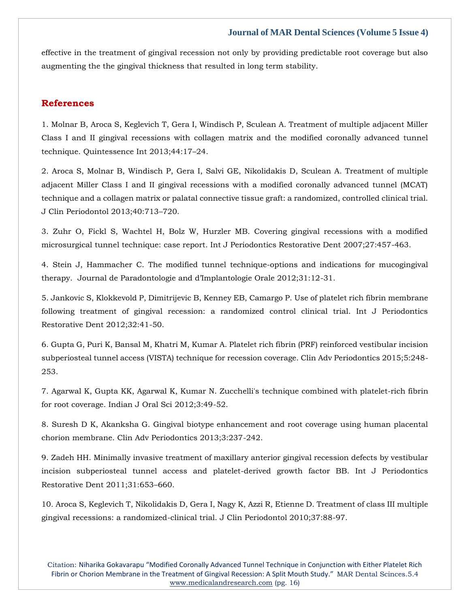effective in the treatment of gingival recession not only by providing predictable root coverage but also augmenting the the gingival thickness that resulted in long term stability.

## **References**

1. Molnar B, Aroca S, Keglevich T, Gera I, Windisch P, Sculean A. Treatment of multiple adjacent Miller Class I and II gingival recessions with collagen matrix and the modified coronally advanced tunnel technique. Quintessence Int 2013;44:17–24.

2. Aroca S, Molnar B, Windisch P, Gera I, Salvi GE, Nikolidakis D, Sculean A. Treatment of multiple adjacent Miller Class I and II gingival recessions with a modified coronally advanced tunnel (MCAT) technique and a collagen matrix or palatal connective tissue graft: a randomized, controlled clinical trial. J Clin Periodontol 2013;40:713–720.

3. Zuhr O, Fickl S, Wachtel H, Bolz W, Hurzler MB. Covering gingival recessions with a modified microsurgical tunnel technique: case report. Int J Periodontics Restorative Dent 2007;27:457-463.

4. Stein J, Hammacher C. The modified tunnel technique-options and indications for mucogingival therapy. Journal de Paradontologie and d'Implantologie Orale 2012;31:12-31.

5. Jankovic S, Klokkevold P, Dimitrijevic B, Kenney EB, Camargo P. Use of platelet rich fibrin membrane following treatment of gingival recession: a randomized control clinical trial. Int J Periodontics Restorative Dent 2012;32:41-50.

6. Gupta G, Puri K, Bansal M, Khatri M, Kumar A. Platelet rich fibrin (PRF) reinforced vestibular incision subperiosteal tunnel access (VISTA) technique for recession coverage. Clin Adv Periodontics 2015;5:248- 253.

7. Agarwal K, Gupta KK, Agarwal K, Kumar N. Zucchelli's technique combined with platelet-rich fibrin for root coverage. Indian J Oral Sci 2012;3:49-52.

8. Suresh D K, Akanksha G. Gingival biotype enhancement and root coverage using human placental chorion membrane. Clin Adv Periodontics 2013;3:237-242.

9. Zadeh HH. Minimally invasive treatment of maxillary anterior gingival recession defects by vestibular incision subperiosteal tunnel access and platelet-derived growth factor BB. Int J Periodontics Restorative Dent 2011;31:653–660.

10. Aroca S, Keglevich T, Nikolidakis D, Gera I, Nagy K, Azzi R, Etienne D. Treatment of class III multiple gingival recessions: a randomized-clinical trial. J Clin Periodontol 2010;37:88-97.

Citation: Niharika Gokavarapu "Modified Coronally Advanced Tunnel Technique in Conjunction with Either Platelet Rich Fibrin or Chorion Membrane in the Treatment of Gingival Recession: A Split Mouth Study." MAR Dental Scinces.5.4 [www.medicalandresearch.com](http://www.medicalandresearch.com/) (pg. 16)